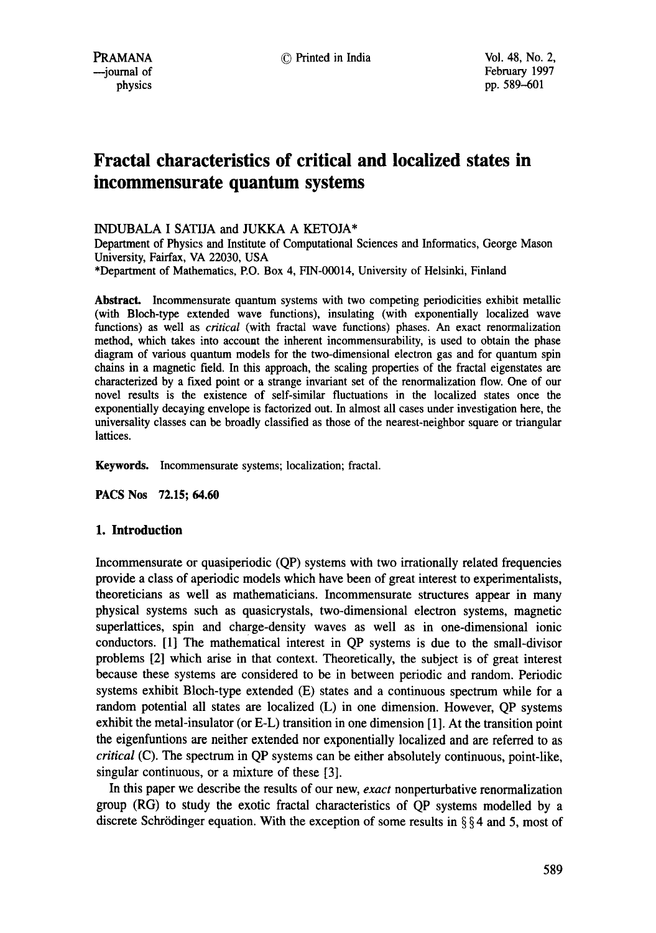# **Fractal characteristics of critical and localized states in incommensurate quantum systems**

INDUBALA I SATIJA and JUKKA A KETOJA\*

Department of Physics and Institute of Computational Sciences and Informatics, George Mason University, Fairfax, VA 22030, USA

\*Department of Mathematics, P.O. Box 4, FIN-00014, University of Helsinki, Finland

**Abstract.** Incommensurate quantum systems with two competing periodicities exhibit metallic (with Bloch-type extended wave functions), insulating (with exponentially localized wave functions) as well as *critical* (with fractal wave functions) phases. An exact renormalization method, which takes into account the inherent incommensurability, is used to obtain the phase diagram of various quantum models for the two-dimensional electron gas and for quantum spin chains in a magnetic field. In this approach, the scaling properties of the fractal eigenstates are characterized by a fixed point or a strange invariant set of the renormalization flow. One of our novel results is the existence of self-similar fluctuations in the localized states once the exponentially decaying envelope is factorized out. In almost all cases under investigation here, the universality classes can be broadly classified as those of the nearest-neighbor square or triangular lattices.

**Keywords.** Incommensurate systems; localization; fractal.

**PACS Nos 72.15; 64.60** 

# **I. Introduction**

Incommensurate or quasiperiodic (QP) systems with two irrationally related frequencies provide a class of aperiodic models which have been of great interest to experimentalists, theoreticians as well as mathematicians. Incommensurate structures appear in many physical systems such as quasicrystals, two-dimensional electron systems, magnetic superlattices, spin and charge-density waves as well as in one-dimensional ionic conductors. [1] The mathematical interest in QP systems is due to the small-divisor problems [2] which arise in that context. Theoretically, the subject is of great interest because these systems are considered to be in between periodic and random. Periodic systems exhibit Bloch-type extended (E) states and a continuous spectrum while for a random potential all states are localized (L) in one dimension. However, QP systems exhibit the metal-insulator (or E-L) transition in one dimension [1]. At the transition point the eigenfuntions are neither extended nor exponentially localized and are referred to as *critical* (C). The spectrum in QP systems can be either absolutely continuous, point-like, singular continuous, or a mixture of these [3].

In this paper we describe the results of our new, *exact* nonperturbative renormalization group (RG) to study the exotic fractal characteristics of QP systems modelled by a discrete Schrödinger equation. With the exception of some results in  $\S$   $\S$  4 and 5, most of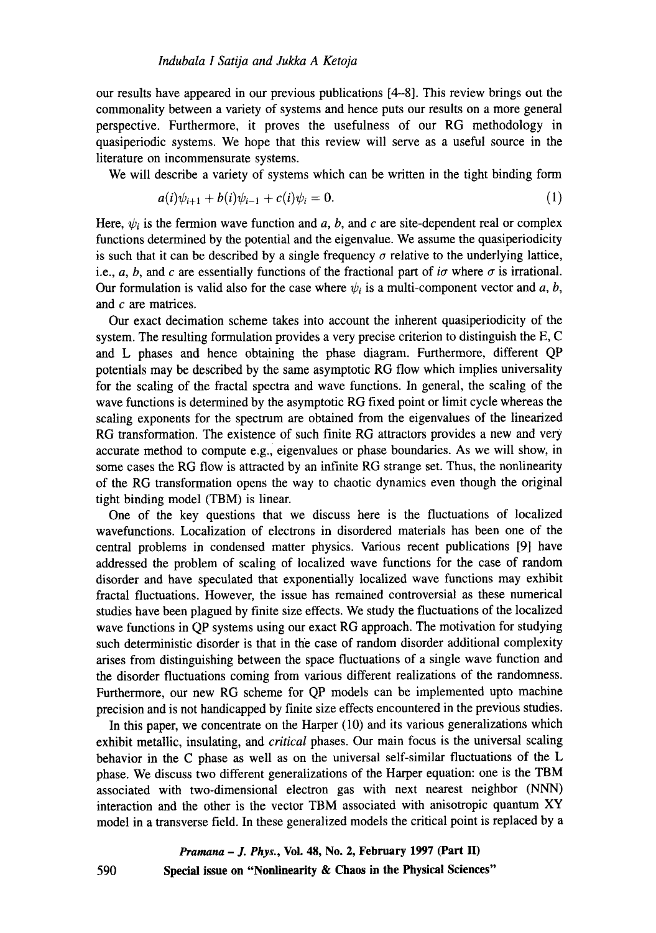our results have appeared in our previous publications [4-8]. This review brings out the commonality between a variety of systems and hence puts our results on a more general perspective. Furthermore, it proves the usefulness of our RG methodology in quasiperiodic systems. We hope that this review will serve as a useful source in the literature on incommensurate systems.

We will describe a variety of systems which can be written in the tight binding form

$$
a(i)\psi_{i+1} + b(i)\psi_{i-1} + c(i)\psi_i = 0.
$$
 (1)

Here,  $\psi_i$  is the fermion wave function and a, b, and c are site-dependent real or complex functions determined by the potential and the eigenvalue. We assume the quasiperiodicity is such that it can be described by a single frequency  $\sigma$  relative to the underlying lattice, i.e., a, b, and c are essentially functions of the fractional part of io where  $\sigma$  is irrational. Our formulation is valid also for the case where  $\psi_i$  is a multi-component vector and a, b, and c are matrices.

Our exact decimation scheme takes into account the inherent quasiperiodicity of the system. The resulting formulation provides a very precise criterion to distinguish the E, C and L phases and hence obtaining the phase diagram. Furthermore, different QP potentials may be described by the same asymptotic RG flow which implies universality for the scaling of the fractal spectra and wave functions. In general, the scaling of the wave functions is determined by the asymptotic RG fixed point or limit cycle whereas the scaling exponents for the spectrum are obtained from the eigenvalues of the linearized RG transformation. The existence of such finite RG attractors provides a new and very accurate method to compute e.g., eigenvalues or phase boundaries. As we will show, in some cases the RG flow is attracted by an infinite RG strange set. Thus, the nonlinearity of the RG transformation opens the way to chaotic dynamics even though the original tight binding model (TBM) is linear.

One of the key questions that we discuss here is the fluctuations of localized wavefunctions. Localization of electrons in disordered materials has been one of the central problems in condensed matter physics. Various recent publications [9] have addressed the problem of scaling of localized wave functions for the case of random disorder and have speculated that exponentially localized wave functions may exhibit fractal fluctuations. However, the issue has remained controversial as these numerical studies have been plagued by finite size effects. We study the fluctuations of the localized wave functions in QP systems using our exact RG approach. The motivation for studying such deterministic disorder is that in the case of random disorder additional complexity arises from distinguishing between the space fluctuations of a single wave function and the disorder fluctuations coming from various different realizations of the randomness. Furthermore, our new RG scheme for QP models can be implemented upto machine precision and is not handicapped by finite size effects encountered in the previous studies.

In this paper, we concentrate on the Harper (10) and its various generalizations which exhibit metallic, insulating, and *critical* phases. Our main focus is the universal scaling behavior in the C phase as well as on the universal self-similar fluctuations of the L phase. We discuss two different generalizations of the Harper equation: one is the TBM associated with two-dimensional electron gas with next nearest neighbor (NNN) interaction and the other is the vector TBM associated with anisotropic quantum XY model in a transverse field. In these generalized models the critical point is replaced by a

> *Pramana - J. Phys.,* **Vol. 48, No. 2, February 1997 (Part II) Special issue on "Nonlinearity & Chaos in the Physical Sciences"**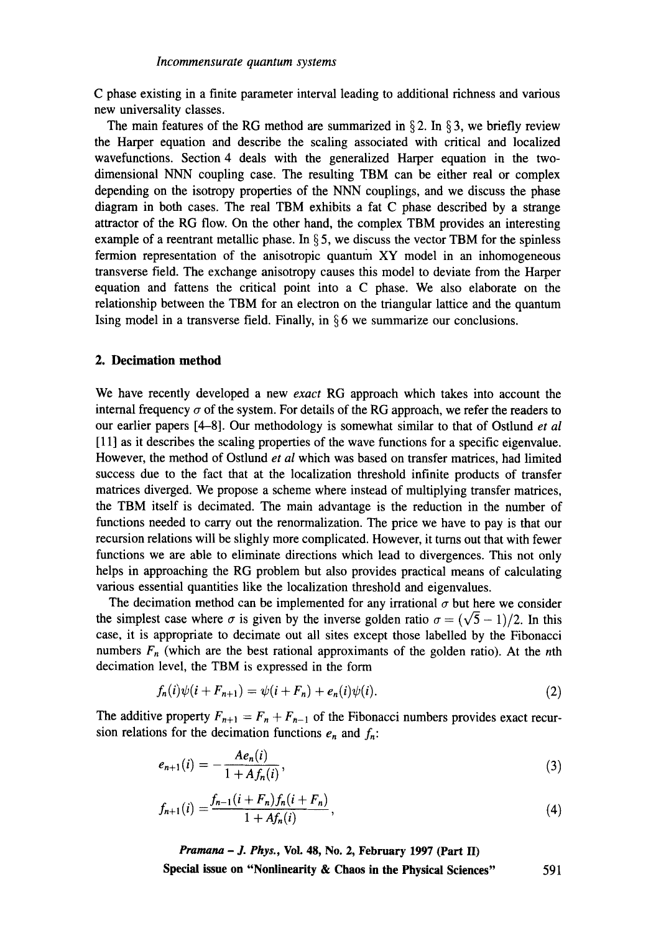C phase existing in a finite parameter interval leading to additional richness and various new universality classes.

The main features of the RG method are summarized in  $\S 2$ . In  $\S 3$ , we briefly review the Harper equation and describe the scaling associated with critical and localized wavefunctions. Section 4 deals with the generalized Harper equation in the twodimensional NNN coupling case. The resulting TBM can be either real or complex depending on the isotropy properties of the NNN couplings, and we discuss the phase diagram in both cases. The real TBM exhibits a fat C phase described by a strange attractor of the RG flow. On the other hand, the complex TBM provides an interesting example of a reentrant metallic phase. In  $\S 5$ , we discuss the vector TBM for the spinless fermion representation of the anisotropic quantum xY model in an inhomogeneous transverse field. The exchange anisotropy causes this model to deviate from the Harper equation and fattens the critical point into a C phase. We also elaborate on the relationship between the TBM for an electron on the triangular lattice and the quantum Ising model in a transverse field. Finally, in § 6 we summarize our conclusions.

## **2. Decimation method**

We have recently developed a new *exact* RG approach which takes into account the internal frequency  $\sigma$  of the system. For details of the RG approach, we refer the readers to our earlier papers [4-8]. Our methodology is somewhat similar to that of Ostlund *et al*  [11] as it describes the scaling properties of the wave functions for a specific eigenvalue. However, the method of Ostlund *et al* which was based on transfer matrices, had limited success due to the fact that at the localization threshold infinite products of transfer matrices diverged. We propose a scheme where instead of multiplying transfer matrices, the TBM itself is decimated. The main advantage is the reduction in the number of functions needed to carry out the renormalization. The price we have to pay is that our recursion relations will be slighly more complicated. However, it turns out that with fewer functions we are able to eliminate directions which lead to divergences. This not only helps in approaching the RG problem but also provides practical means of calculating various essential quantities like the localization threshold and eigenvalues.

The decimation method can be implemented for any irrational  $\sigma$  but here we consider the simplest case where  $\sigma$  is given by the inverse golden ratio  $\sigma = (\sqrt{5} - 1)/2$ . In this case, it is appropriate to decimate out all sites except those labelled by the Fibonacci numbers  $F_n$  (which are the best rational approximants of the golden ratio). At the *n*th decimation level, the TBM is expressed in the form

$$
f_n(i)\psi(i + F_{n+1}) = \psi(i + F_n) + e_n(i)\psi(i).
$$
 (2)

The additive property  $F_{n+1} = F_n + F_{n-1}$  of the Fibonacci numbers provides exact recursion relations for the decimation functions  $e_n$  and  $f_n$ :

$$
e_{n+1}(i) = -\frac{Ae_n(i)}{1 + Af_n(i)},
$$
\n(3)

$$
f_{n+1}(i) = \frac{f_{n-1}(i + F_n)f_n(i + F_n)}{1 + Af_n(i)},
$$
\n(4)

*Pramana- J. Phys.,* **Vol. 48, No. 2, February 1997 (Part H)** 

**Special issue on "Nonlinearity & Chaos in the Physical Sciences"** 591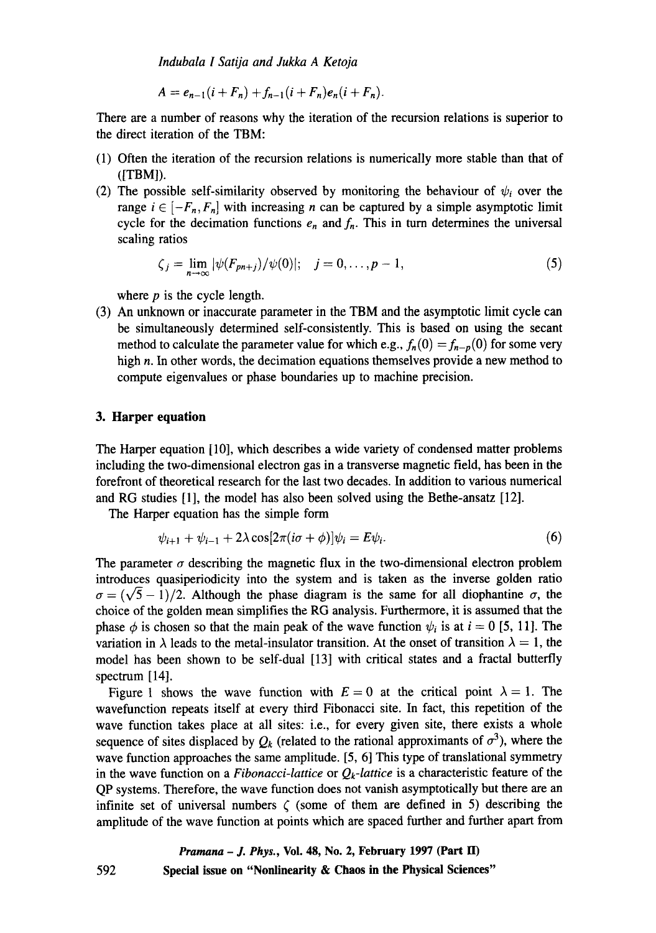*Indubala I Satija and Jukka A Ketoja* 

$$
A = e_{n-1}(i + F_n) + f_{n-1}(i + F_n)e_n(i + F_n).
$$

There are a number of reasons why the iteration of the recursion relations is superior to the direct iteration of the TBM:

- (1) Often the iteration of the recursion relations is numerically more stable than that of ([TBM]).
- (2) The possible self-similarity observed by monitoring the behaviour of  $\psi_i$  over the range  $i \in [-F_n, F_n]$  with increasing *n* can be captured by a simple asymptotic limit cycle for the decimation functions  $e_n$  and  $f_n$ . This in turn determines the universal scaling ratios

$$
\zeta_j = \lim_{n \to \infty} |\psi(F_{pn+j})/\psi(0)|; \quad j = 0, \dots, p-1,
$$
\n(5)

where  $p$  is the cycle length.

(3) An unknown or inaccurate parameter in the TBM and the asymptotic limit cycle can be simultaneously determined self-consistently. This is based on using the secant method to calculate the parameter value for which e.g.,  $f_n(0) = f_{n-p}(0)$  for some very high n. In other words, the decimation equations themselves provide a new method to compute eigenvalues or phase boundaries up to machine precision.

## **3. Harper equation**

The Harper equation [10], which describes a wide variety of condensed matter problems including the two-dimensional electron gas in a transverse magnetic field, has been in the forefront of theoretical research for the last two decades. In addition to various numerical and RG studies [1], the model has also been solved using the Bethe-ansatz [12].

The Harper equation has the simple form

$$
\psi_{i+1} + \psi_{i-1} + 2\lambda \cos[2\pi(i\sigma + \phi)]\psi_i = E\psi_i.
$$
\n
$$
(6)
$$

The parameter  $\sigma$  describing the magnetic flux in the two-dimensional electron problem introduces quasiperiodicity into the system and is taken as the inverse golden ratio  $\sigma = (\sqrt{5}-1)/2$ . Although the phase diagram is the same for all diophantine  $\sigma$ , the choice of the golden mean simplifies the RG analysis. Furthermore, it is assumed that the phase  $\phi$  is chosen so that the main peak of the wave function  $\psi_i$  is at  $i = 0$  [5, 11]. The variation in  $\lambda$  leads to the metal-insulator transition. At the onset of transition  $\lambda = 1$ , the model has been shown to be self-dual [13] with critical states and a fractal butterfly spectrum [14].

Figure 1 shows the wave function with  $E = 0$  at the critical point  $\lambda = 1$ . The wavefunction repeats itself at every third Fibonacci site. In fact, this repetition of the wave function takes place at all sites: i.e., for every given site, there exists a whole sequence of sites displaced by  $Q_k$  (related to the rational approximants of  $\sigma^3$ ), where the wave function approaches the same amplitude. [5, 6] This type of translational symmetry in the wave function on a *Fibonacci-lattice* or  $Q_k$ -lattice is a characteristic feature of the QP systems. Therefore, the wave function does not vanish asymptotically but there are an infinite set of universal numbers  $\zeta$  (some of them are defined in 5) describing the amplitude of the wave function at points which are spaced further and further apart from

*Pramana - J. Phys.,* **Vol. 48, No. 2, February 1997 (Part** II) **592 Special issue on "Nonlinearity & Chaos in the Physical Sciences"**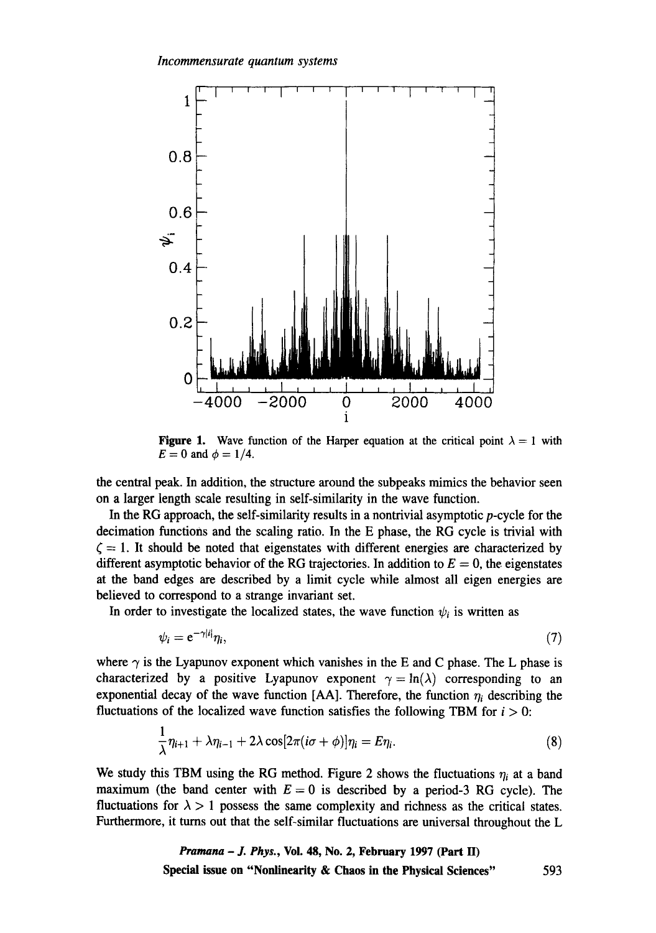

**Figure 1.** Wave function of the Harper equation at the critical point  $\lambda = 1$  with  $E = 0$  and  $\phi = 1/4$ .

the central peak. In addition, the structure around the subpeaks mimics the behavior seen on a larger length scale resulting in self-similarity in the wave function.

In the RG approach, the self-similarity results in a nontrivial asymptotic  $p$ -cycle for the decimation functions and the scaling ratio. In the E phase, the RG cycle is trivial with  $\zeta = 1$ . It should be noted that eigenstates with different energies are characterized by different asymptotic behavior of the RG trajectories. In addition to  $E = 0$ , the eigenstates at the band edges are described by a limit cycle while almost all eigen energies are believed to correspond to a strange invariant set.

In order to investigate the localized states, the wave function  $\psi_i$  is written as

$$
\psi_i = e^{-\gamma |i|} \eta_i,\tag{7}
$$

where  $\gamma$  is the Lyapunov exponent which vanishes in the E and C phase. The L phase is characterized by a positive Lyapunov exponent  $\gamma = \ln(\lambda)$  corresponding to an exponential decay of the wave function [AA]. Therefore, the function  $\eta_i$  describing the fluctuations of the localized wave function satisfies the following TBM for  $i > 0$ :

$$
\frac{1}{\lambda}\eta_{i+1} + \lambda \eta_{i-1} + 2\lambda \cos[2\pi(i\sigma + \phi)]\eta_i = E\eta_i.
$$
 (8)

We study this TBM using the RG method. Figure 2 shows the fluctuations  $\eta_i$  at a band maximum (the band center with  $E = 0$  is described by a period-3 RG cycle). The fluctuations for  $\lambda > 1$  possess the same complexity and richness as the critical states. Furthermore, it turns out that the self-similar fluctuations are universal throughout the L

> *Pramana - J. Phys.,* Vol. 48, No. 2, February 1997 (Part H) **Special issue on "Nonlinearity & Chaos in the Physical Sciences"** 593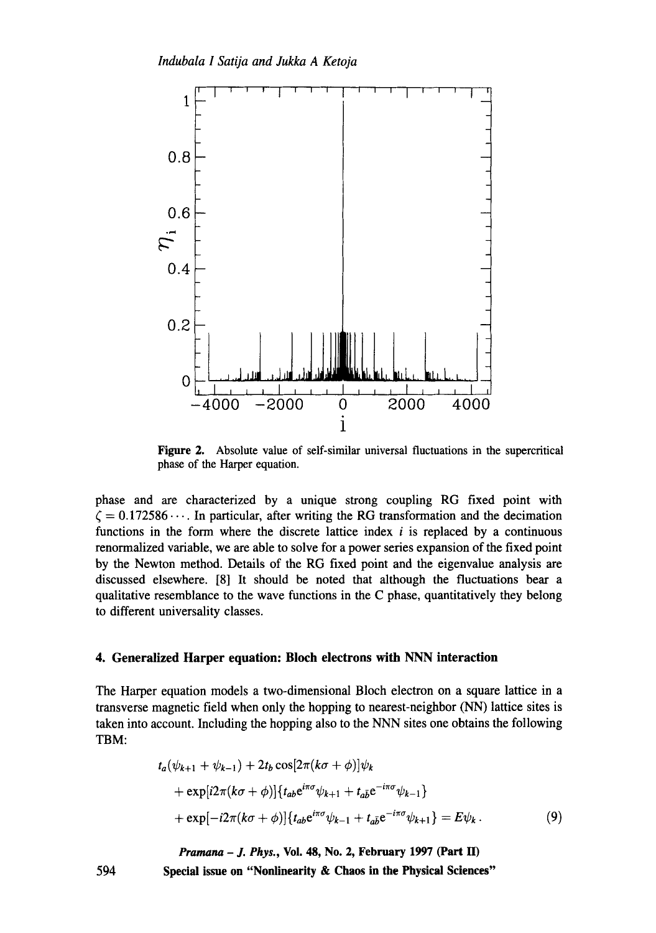

Figure 2. Absolute value of self-similar universal fluctuations in the supercritical phase of the Harper equation.

phase and are characterized by a unique strong coupling RG fixed point with  $\zeta = 0.172586\cdots$ . In particular, after writing the RG transformation and the decimation functions in the form where the discrete lattice index  $i$  is replaced by a continuous renormalized variable, we are able to solve for a power series expansion of the fixed point by the Newton method. Details of the RG fixed point and the eigenvalue analysis are discussed elsewhere. [8] It should be noted that although the fluctuations bear a qualitative resemblance to the wave functions in the C phase, quantitatively they belong to different universality classes.

## **4. Generalized Harper equation: Bloeh electrons** with NNN **interaction**

The Harper equation models a two-dimensional Bloch electron on a square lattice in a transverse magnetic field when only the hopping to nearest-neighbor (NN) lattice sites is taken into account. Including the hopping also to the NNN sites one obtains the following TBM:

$$
t_{a}(\psi_{k+1} + \psi_{k-1}) + 2t_{b} \cos[2\pi(k\sigma + \phi)]\psi_{k} + \exp[i2\pi(k\sigma + \phi)]\{t_{ab}e^{i\pi\sigma}\psi_{k+1} + t_{a\bar{b}}e^{-i\pi\sigma}\psi_{k-1}\} + \exp[-i2\pi(k\sigma + \phi)]\{t_{ab}e^{i\pi\sigma}\psi_{k-1} + t_{a\bar{b}}e^{-i\pi\sigma}\psi_{k+1}\} = E\psi_{k}.
$$
 (9)

*Pramana - J. Phys.,* **Vol. 48, No. 2, February 1997 (Part H) Special issue on "Nonlinearity & Chaos in the Physical Sciences"**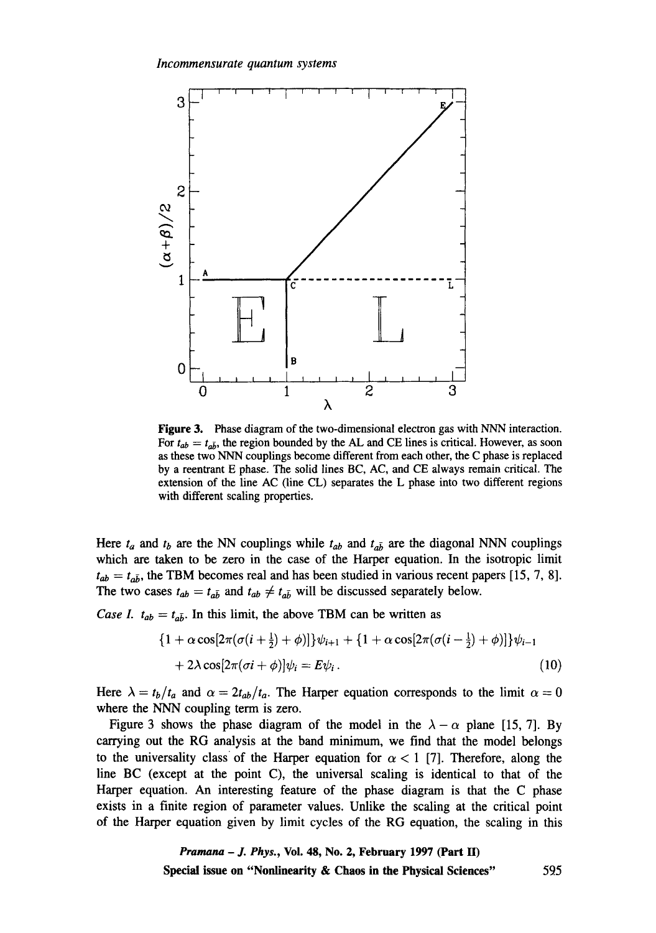

**Figure** 3. Phase diagram of the two-dimensional electron gas with NNN interaction. For  $t_{ab} = t_{ab}$ , the region bounded by the AL and CE lines is critical. However, as soon as these two NNN couplings become different from each other, the C phase is replaced by a reentrant E phase. The solid lines BC, AC, and CE always remain critical. The extension of the line AC (line CL) separates the L phase into two different regions with different scaling properties.

Here  $t_a$  and  $t_b$  are the NN couplings while  $t_{ab}$  and  $t_{a\bar{b}}$  are the diagonal NNN couplings which are taken to be zero in the case of the Harper equation. In the isotropic limit  $t_{ab} = t_{a\bar{b}}$ , the TBM becomes real and has been studied in various recent papers [15, 7, 8]. The two cases  $t_{ab} = t_{a\bar{b}}$  and  $t_{ab} \neq t_{a\bar{b}}$  will be discussed separately below.

*Case I.*  $t_{ab} = t_{a\bar{b}}$ . In this limit, the above TBM can be written as

$$
\{1+\alpha\cos[2\pi(\sigma(i+\frac{1}{2})+\phi)]\}\psi_{i+1} + \{1+\alpha\cos[2\pi(\sigma(i-\frac{1}{2})+\phi)]\}\psi_{i-1} + 2\lambda\cos[2\pi(\sigma i+\phi)]\psi_i = E\psi_i.
$$
\n(10)

Here  $\lambda = t_b/t_a$  and  $\alpha = 2t_{ab}/t_a$ . The Harper equation corresponds to the limit  $\alpha = 0$ where the NNN coupling term is zero.

Figure 3 shows the phase diagram of the model in the  $\lambda - \alpha$  plane [15, 7]. By carrying out the RG analysis at the band minimum, we find that the model belongs to the universality class of the Harper equation for  $\alpha < 1$  [7]. Therefore, along the line BC (except at the point C), the universal scaling is identical to that of the Harper equation. An interesting feature of the phase diagram is that the C phase exists in a finite region of parameter values. Unlike the scaling at the critical point of the Harper equation given by limit cycles of the RG equation, the scaling in this

> *Pramana - J. Phys.,* **Vol. 48, No. 2, February 1997 (Part II) Special issue on "Nonlinearity & Chaos in the Physical Sciences"** 59.5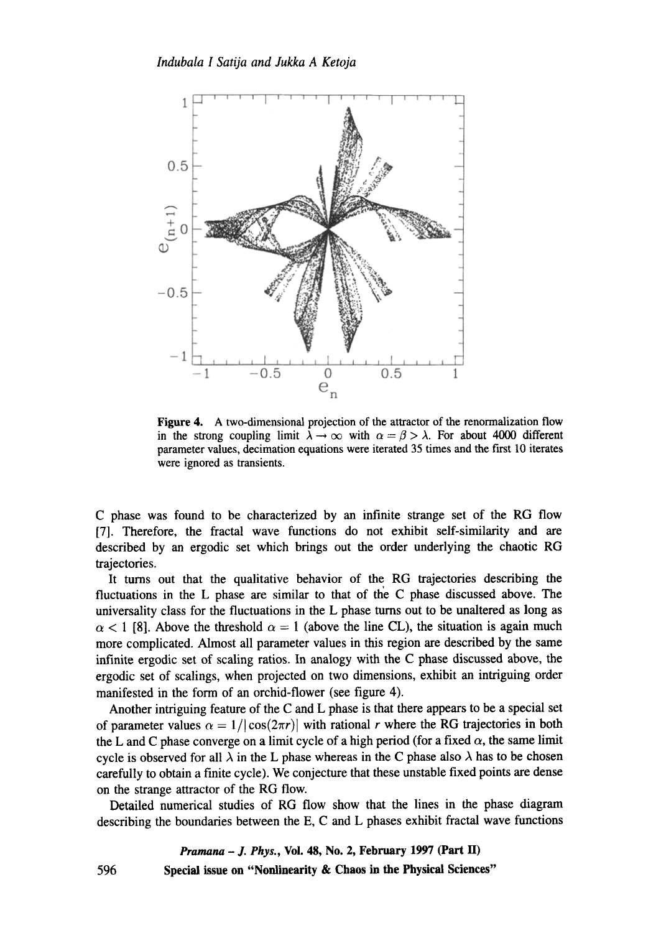

**Figure** 4. A two-dimensional projection of the attractor of the renormalization flow in the strong coupling limit  $\lambda \to \infty$  with  $\alpha = \beta > \lambda$ . For about 4000 different parameter values, decimation equations were iterated 35 times and the first 10 iterates were ignored as transients.

C phase was found to be characterized by an infinite strange set of the RG flow [7]. Therefore, the fractal wave functions do not exhibit self-similarity and are described by an ergodic set which brings out the order underlying the chaotic RG trajectories.

It turns out that the qualitative behavior of the RG trajectories describing the fluctuations in the L phase are similar to that of the C phase discussed above. The universality class for the fluctuations in the L phase turns out to be unaltered as long as  $\alpha$  < 1 [8]. Above the threshold  $\alpha = 1$  (above the line CL), the situation is again much more complicated. Almost all parameter values in this region are described by the same infinite ergodic set of scaling ratios. In analogy with the C phase discussed above, the ergodic set of scalings, when projected on two dimensions, exhibit an intriguing order manifested in the form of an orchid-flower (see figure 4).

Another intriguing feature of the C and L phase is that there appears to be a special set of parameter values  $\alpha = 1/|\cos(2\pi r)|$  with rational r where the RG trajectories in both the L and C phase converge on a limit cycle of a high period (for a fixed  $\alpha$ , the same limit cycle is observed for all  $\lambda$  in the L phase whereas in the C phase also  $\lambda$  has to be chosen carefully to obtain a finite cycle). We conjecture that these unstable fixed points are dense on the strange attractor of the RG flow.

Detailed numerical studies of RG flow show that the lines in the phase diagram describing the boundaries between the E, C and L phases exhibit fractal wave functions

> *Pramana - J. Phys.,* **Voi. 48, No. 2, February 1997 (Part H) Special issue on "Nonlinearity & Chaos in the Physical Sciences"**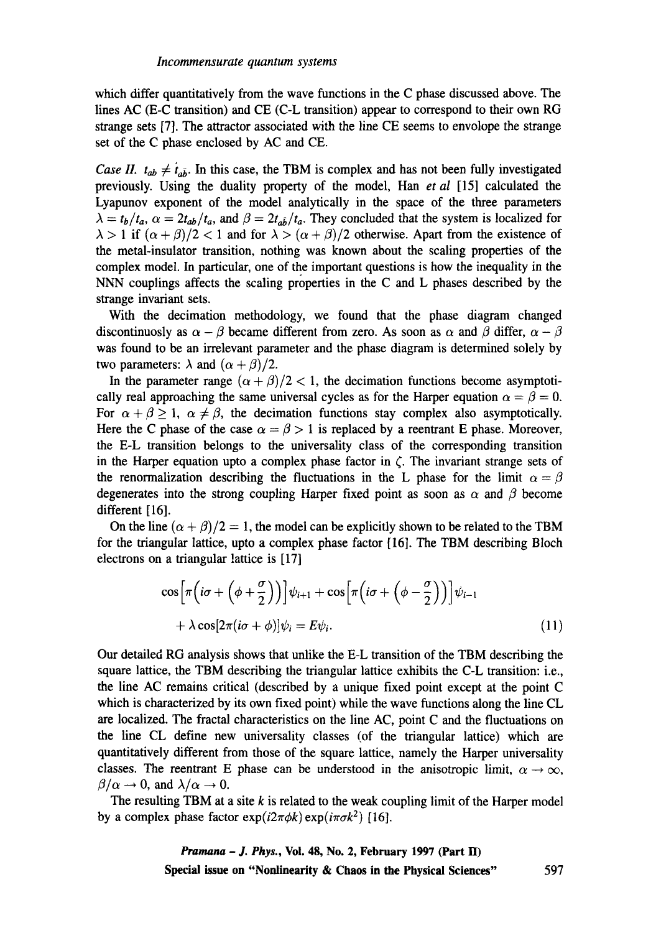which differ quantitatively from the wave functions in the C phase discussed above. The lines AC (E-C transition) and CE (C-L transition) appear to correspond to their own RG strange sets [7]. The attractor associated with the line CE seems to envolope the strange set of the C phase enclosed by AC and CE.

*Case II.*  $t_{ab} \neq t_{ab}$ . In this case, the TBM is complex and has not been fully investigated previously. Using the duality property of the model, Han *et al* [15] calculated the Lyapunov exponent of the model analytically in the space of the three parameters  $\lambda = t_b/t_a$ ,  $\alpha = 2t_{ab}/t_a$ , and  $\beta = 2t_{a\bar{b}}/t_a$ . They concluded that the system is localized for  $\lambda > 1$  if  $(\alpha + \beta)/2 < 1$  and for  $\lambda > (\alpha + \beta)/2$  otherwise. Apart from the existence of the metal-insulator transition, nothing was known about the scaling properties of the complex model. In particular, one of the important questions is how the inequality in the NNN couplings affects the scaling properties in the C and L phases described by the strange invariant sets.

With the decimation methodology, we found that the phase diagram changed discontinuosly as  $\alpha - \beta$  became different from zero. As soon as  $\alpha$  and  $\beta$  differ,  $\alpha - \beta$ was found to be an irrelevant parameter and the phase diagram is determined solely by two parameters:  $\lambda$  and  $(\alpha + \beta)/2$ .

In the parameter range  $(\alpha + \beta)/2 < 1$ , the decimation functions become asymptotically real approaching the same universal cycles as for the Harper equation  $\alpha = \beta = 0$ . For  $\alpha + \beta > 1$ ,  $\alpha \neq \beta$ , the decimation functions stay complex also asymptotically. Here the C phase of the case  $\alpha = \beta > 1$  is replaced by a reentrant E phase. Moreover, the E-L transition belongs to the universality class of the corresponding transition in the Harper equation upto a complex phase factor in  $\zeta$ . The invariant strange sets of the renormalization describing the fluctuations in the L phase for the limit  $\alpha = \beta$ degenerates into the strong coupling Harper fixed point as soon as  $\alpha$  and  $\beta$  become different [16].

On the line  $(\alpha + \beta)/2 = 1$ , the model can be explicitly shown to be related to the TBM for the triangular lattice, upto a complex phase factor [16]. The TBM describing Bloch electrons on a triangular lattice is [17]

$$
\cos\left[\pi\left(i\sigma+\left(\phi+\frac{\sigma}{2}\right)\right)\right]\psi_{i+1}+\cos\left[\pi\left(i\sigma+\left(\phi-\frac{\sigma}{2}\right)\right)\right]\psi_{i-1} + \lambda \cos[2\pi(i\sigma+\phi)]\psi_i = E\psi_i.
$$
\n(11)

Our detailed RG analysis shows that unlike the E-L transition of the TBM describing the square lattice, the TBM describing the triangular lattice exhibits the C-L transition: i.e., the line AC remains critical (described by a unique fixed point except at the point C which is characterized by its own fixed point) while the wave functions along the line CL are localized. The fractal characteristics on the line AC, point C and the fluctuations on the line CL define new universality classes (of the triangular lattice) which are quantitatively different from those of the square lattice, namely the Harper universality classes. The reentrant E phase can be understood in the anisotropic limit,  $\alpha \rightarrow \infty$ ,  $\beta/\alpha \rightarrow 0$ , and  $\lambda/\alpha \rightarrow 0$ .

The resulting TBM at a site  $k$  is related to the weak coupling limit of the Harper model by a complex phase factor  $\exp(i2\pi\phi k) \exp(i\pi\sigma k^2)$  [16].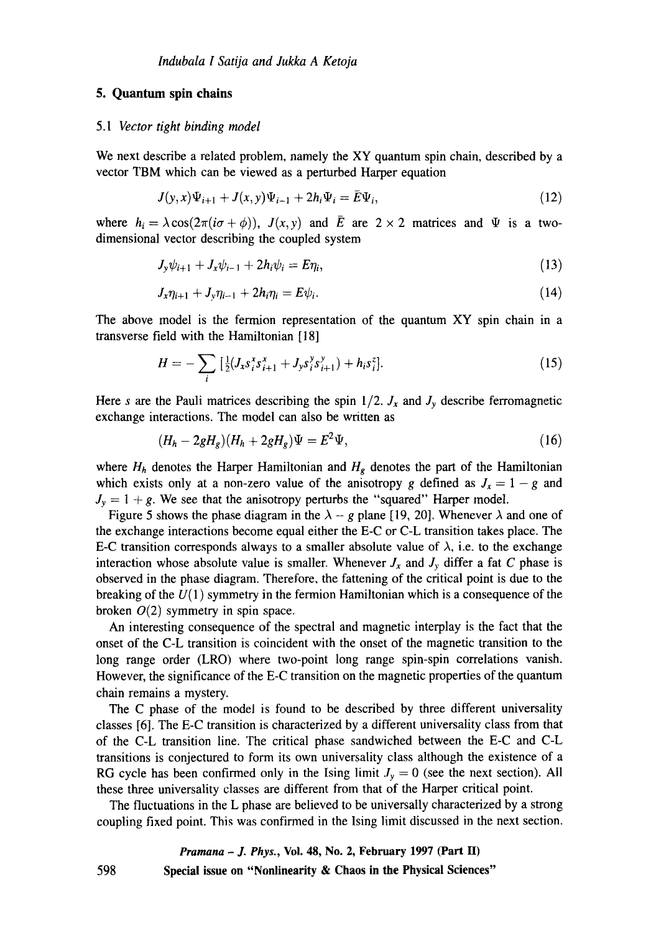## **5. Quantum spin chains**

#### *5.1 Vector tight binding model*

We next describe a related problem, namely the XY quantum spin chain, described by a vector TBM which can be viewed as a perturbed Harper equation

$$
J(y, x)\Psi_{i+1} + J(x, y)\Psi_{i-1} + 2h_i\Psi_i = \bar{E}\Psi_i, \qquad (12)
$$

where  $h_i = \lambda \cos(2\pi(i\sigma + \phi))$ ,  $J(x, y)$  and  $\overline{E}$  are  $2 \times 2$  matrices and  $\Psi$  is a twodimensional vector describing the coupled system

$$
J_{y}\psi_{i+1} + J_{x}\psi_{i-1} + 2h_{i}\psi_{i} = E\eta_{i}, \qquad (13)
$$

$$
J_x \eta_{i+1} + J_y \eta_{i-1} + 2h_i \eta_i = E \psi_i. \tag{14}
$$

The above model is the ferrnion representation of the quantum XY spin chain in a transverse field with the Hamiltonian [18]

$$
H = -\sum_{i} \left[ \frac{1}{2} (J_{x} s_{i}^{x} s_{i+1}^{x} + J_{y} s_{i}^{y} s_{i+1}^{y}) + h_{i} s_{i}^{z} \right]. \tag{15}
$$

Here s are the Pauli matrices describing the spin  $1/2$ .  $J_x$  and  $J_y$  describe ferromagnetic exchange interactions. The model can also be written as

$$
(H_h - 2gH_g)(H_h + 2gH_g)\Psi = E^2\Psi,
$$
\n(16)

where  $H_h$  denotes the Harper Hamiltonian and  $H_g$  denotes the part of the Hamiltonian which exists only at a non-zero value of the anisotropy g defined as  $J_x = 1 - g$  and  $J_y = 1 + g$ . We see that the anisotropy perturbs the "squared" Harper model.

Figure 5 shows the phase diagram in the  $\lambda - g$  plane [19, 20]. Whenever  $\lambda$  and one of the exchange interactions become equal either the E-C or C-L transition takes place. The E-C transition corresponds always to a smaller absolute value of  $\lambda$ , i.e. to the exchange interaction whose absolute value is smaller. Whenever  $J_x$  and  $J_y$  differ a fat C phase is observed in the phase diagram. Therefore, the fattening of the critical point is due to the breaking of the  $U(1)$  symmetry in the fermion Hamiltonian which is a consequence of the broken  $O(2)$  symmetry in spin space.

An interesting consequence of the spectral and magnetic interplay is the fact that the onset of the C-L transition is coincident with the onset of the magnetic transition to the long range order (LRO) where two-point long range spin-spin correlations vanish. However, the significance of the E-C transition on the magnetic properties of the quantum chain remains a mystery.

The C phase of the model is found to be described by three different universality classes [6]. The E-C transition is characterized by a different universality class from that of the C-L transition line. The critical phase sandwiched between the E-C and C-L transitions is conjectured to form its own universality class although the existence of a RG cycle has been confirmed only in the Ising limit  $J_y = 0$  (see the next section). All these three universality classes are different from that of the Harper critical point.

The fluctuations in the L phase are believed to be universally characterized by a strong coupling fixed point. This was confirmed in the Ising limit discussed in the next section,

> *Pramana - J. Phys.,* **Vol. 48, No. 2, February 1997 (Part H) Special issue on "Nonlinearity & Chaos in the Physical Sciences"**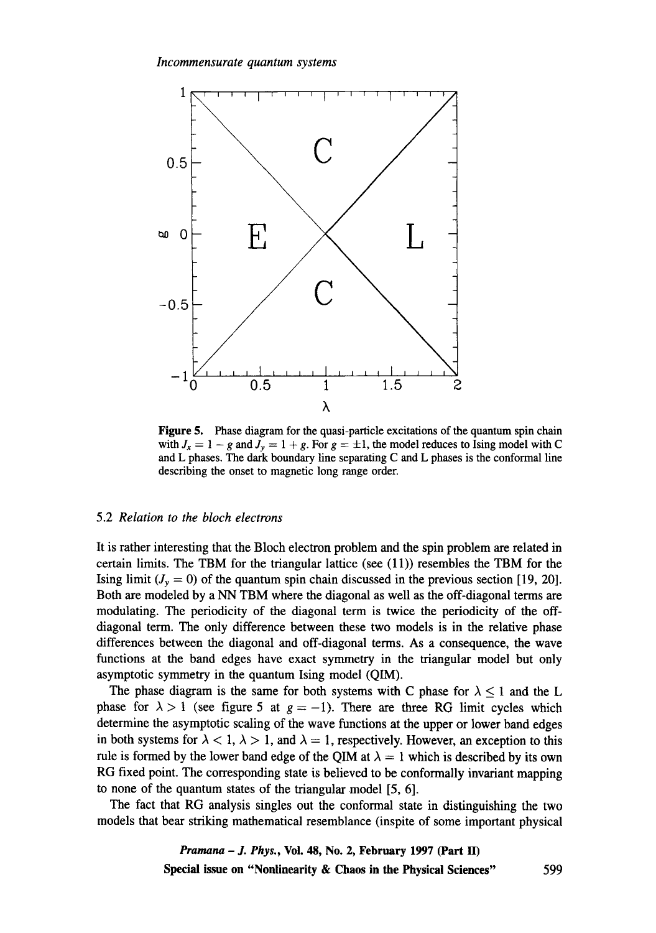

Figure 5. Phase diagram for the quasi-particle excitations of the quantum spin chain with  $J_x = 1 - g$  and  $J_y = 1 + g$ . For  $g = \pm 1$ , the model reduces to Ising model with C and L phases. The dark boundary line separating C and L phases is the conformal line describing the onset to magnetic long range order.

## 5.2 *Relation to the bloch electrons*

It is rather interesting that the Bloch electron problem and the spin problem are related in certain limits. The TBM for the triangular lattice (see (11)) resembles the TBM for the Ising limit  $(J_v = 0)$  of the quantum spin chain discussed in the previous section [19, 20]. Both are modeled by a NN TBM where the diagonal as well as the off-diagonal terms are modulating. The periodicity of the diagonal term is twice the periodicity of the offdiagonal term. The only difference between these two models is in the relative phase differences between the diagonal and off-diagonal terms. As a consequence, the wave functions at the band edges have exact symmetry in the triangular model but only asymptotic symmetry in the quantum Ising model (QIM).

The phase diagram is the same for both systems with C phase for  $\lambda \leq 1$  and the L phase for  $\lambda > 1$  (see figure 5 at  $g = -1$ ). There are three RG limit cycles which determine the asymptotic scaling of the wave functions at the upper or lower band edges in both systems for  $\lambda < 1$ ,  $\lambda > 1$ , and  $\lambda = 1$ , respectively. However, an exception to this rule is formed by the lower band edge of the QIM at  $\lambda = 1$  which is described by its own RG fixed point. The corresponding state is believed to be conformally invariant mapping to none of the quantum states of the triangular model [5, 6].

The fact that RG analysis singles out the conformal state in distinguishing the two models that bear striking mathematical resemblance (inspite of some important physical

> *Pramana - J. Phys.,* **Vol. 48, No. 2, February 1997 (Part H) Special issue on "Nonlinearity & Chaos in the Physical Sciences"** 599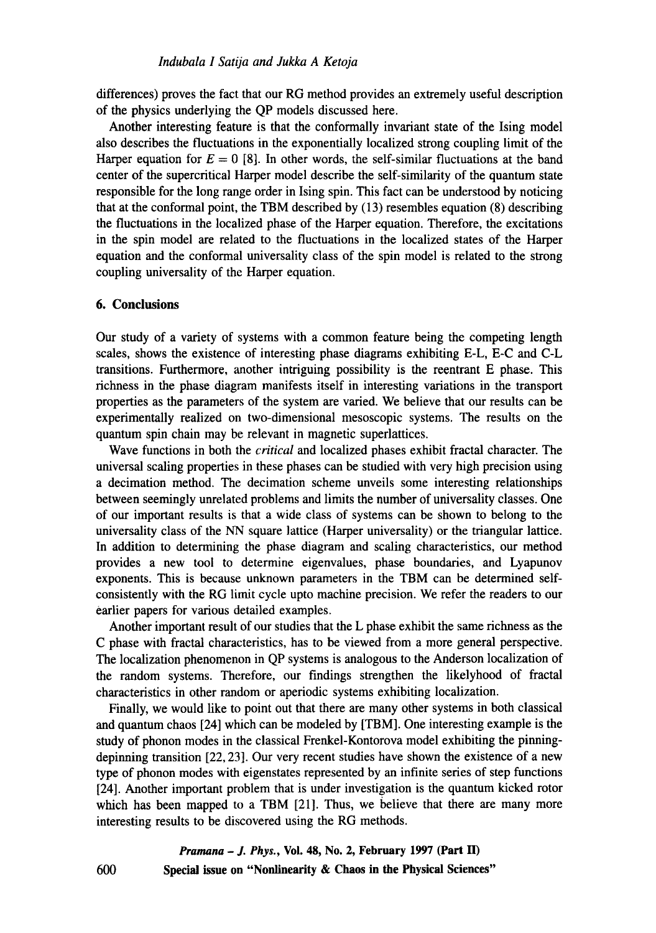differences) proves the fact that our RG method provides an extremely useful description of the physics underlying the QP models discussed here.

Another interesting feature is that the conformally invariant state of the Ising model also describes the fluctuations in the exponentially localized strong coupling limit of the Harper equation for  $E = 0$  [8]. In other words, the self-similar fluctuations at the band center of the supercritical Harper model describe the self-similarity of the quantum state responsible for the long range order in Ising spin. This fact can be understood by noticing that at the conformal point, the TBM described by (13) resembles equation (8) describing the fluctuations in the localized phase of the Harper equation. Therefore, the excitations in the spin model are related to the fluctuations in the localized states of the Harper equation and the conformal universality class of the spin model is related to the strong coupling universality of the Harper equation.

## **6. Conclusions**

600

Our study of a variety of systems with a common feature being the competing length scales, shows the existence of interesting phase diagrams exhibiting E-L, E-C and C-L transitions. Furthermore, another intriguing possibility is the reentrant E phase. This richness in the phase diagram manifests itself in interesting variations in the transport properties as the parameters of the system are varied. We believe that our results can be experimentally realized on two-dimensional mesoscopic systems. The results on the quantum spin chain may be relevant in magnetic superlattices.

Wave functions in both the *critical* and localized phases exhibit fractal character. The universal scaling properties in these phases can be studied with very high precision using a decimation method. The decimation scheme unveils some interesting relationships between seemingly unrelated problems and limits the number of universality classes. One of our important results is that a wide class of systems can be shown to belong to the universality class of the NN square lattice (Harper universality) or the triangular lattice. In addition to determining the phase diagram and scaling characteristics, our method provides a new tool to determine eigenvalues, phase boundaries, and Lyapunov exponents. This is because unknown parameters in the TBM can be determined selfconsistently with the RG limit cycle upto machine precision. We refer the readers to our earlier papers for various detailed examples.

Another important result of our studies that the L phase exhibit the same richness as the C phase with fractal characteristics, has to be viewed from a more general perspective. The localization phenomenon in QP systems is analogous to the Anderson localization of the random systems. Therefore, our findings strengthen the likelyhood of fractal characteristics in other random or aperiodic systems exhibiting localization.

Finally, we would like to point out that there are many other systems in both classical and quantum chaos [24] which can be modeled by [TBM]. One interesting example is the study of phonon modes in the classical Frenkel-Kontorova model exhibiting the pinningdepinning transition [22, 23]. Our very recent studies have shown the existence of a new type of phonon modes with eigenstates represented by an infinite series of step functions [24]. Another important problem that is under investigation is the quantum kicked rotor which has been mapped to a TBM [21]. Thus, we believe that there are many more interesting results to be discovered using the RG methods.

> *Pramana - J. Phys.,* **Vol. 48, No. 2, February 1997 (Part H) Special issue on "Nonlinearity & Chaos in the Physical Sciences"**